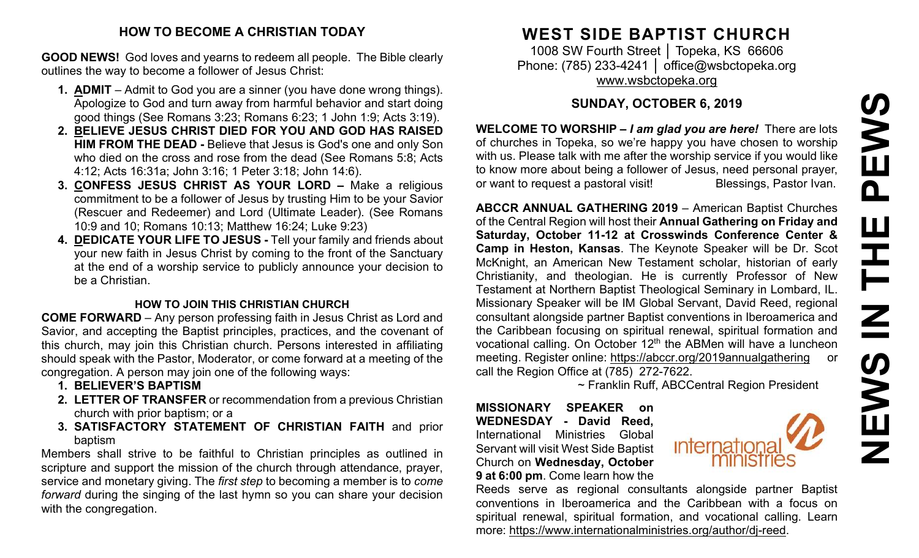#### **HOW TO BECOME A CHRISTIAN TODAY**

**GOOD NEWS!** God loves and yearns to redeem all people. The Bible clearly outlines the way to become a follower of Jesus Christ:

- **1. ADMIT** Admit to God you are a sinner (you have done wrong things). Apologize to God and turn away from harmful behavior and start doing good things (See Romans 3:23; Romans 6:23; 1 John 1:9; Acts 3:19).
- **2. BELIEVE JESUS CHRIST DIED FOR YOU AND GOD HAS RAISED HIM FROM THE DEAD -** Believe that Jesus is God's one and only Son who died on the cross and rose from the dead (See Romans 5:8; Acts 4:12; Acts 16:31a; John 3:16; 1 Peter 3:18; John 14:6).
- **3. CONFESS JESUS CHRIST AS YOUR LORD –** Make a religious commitment to be a follower of Jesus by trusting Him to be your Savior (Rescuer and Redeemer) and Lord (Ultimate Leader). (See Romans 10:9 and 10; Romans 10:13; Matthew 16:24; Luke 9:23)
- **4. DEDICATE YOUR LIFE TO JESUS -** Tell your family and friends about your new faith in Jesus Christ by coming to the front of the Sanctuary at the end of a worship service to publicly announce your decision to be a Christian.

#### **HOW TO JOIN THIS CHRISTIAN CHURCH**

**COME FORWARD** – Any person professing faith in Jesus Christ as Lord and Savior, and accepting the Baptist principles, practices, and the covenant of this church, may join this Christian church. Persons interested in affiliating should speak with the Pastor, Moderator, or come forward at a meeting of the congregation. A person may join one of the following ways:

- **1. BELIEVER'S BAPTISM**
- **2. LETTER OF TRANSFER** or recommendation from a previous Christian church with prior baptism; or a
- **3. SATISFACTORY STATEMENT OF CHRISTIAN FAITH** and prior baptism

Members shall strive to be faithful to Christian principles as outlined in scripture and support the mission of the church through attendance, prayer, service and monetary giving. The *first step* to becoming a member is to *come forward* during the singing of the last hymn so you can share your decision with the congregation.

# **WEST SIDE BAPTIST CHURCH**

1008 SW Fourth Street | Topeka, KS 66606 Phone: (785) 233-4241 │ [office@wsbctopeka.org](mailto:office@wsbctopeka.org) [www.wsbctopeka.org](http://www.wsbctopeka.org/)

# **SUNDAY, OCTOBER 6, 2019**

**WELCOME TO WORSHIP –** *I am glad you are here!* There are lots of churches in Topeka, so we're happy you have chosen to worship with us. Please talk with me after the worship service if you would like to know more about being a follower of Jesus, need personal prayer, or want to request a pastoral visit!<br>
Blessings, Pastor Ivan.

**ABCCR ANNUAL GATHERING 2019** – American Baptist Churches of the Central Region will host their **Annual Gathering on Friday and Saturday, October 11-12 at Crosswinds Conference Center & Camp in Heston, Kansas**. The Keynote Speaker will be Dr. Scot McKnight, an American New Testament scholar, historian of early Christianity, and theologian. He is currently Professor of New Testament at Northern Baptist Theological Seminary in Lombard, IL. Missionary Speaker will be IM Global Servant, David Reed, regional consultant alongside partner Baptist conventions in Iberoamerica and the Caribbean focusing on spiritual renewal, spiritual formation and vocational calling. On October 12<sup>th</sup> the ABMen will have a luncheon meeting. Register online: <https://abccr.org/2019annualgathering> or call the Region Office at (785) 272-7622.

~ Franklin Ruff, ABCCentral Region President

**MISSIONARY SPEAKER on WEDNESDAY - David Reed,** International Ministries Global Servant will visit West Side Baptist Church on **Wednesday, October 9 at 6:00 pm**. Come learn how the



Reeds serve as regional consultants alongside partner Baptist conventions in Iberoamerica and the Caribbean with a focus on spiritual renewal, spiritual formation, and vocational calling. Learn more: [https://www.internationalministries.org/author/dj-reed.](https://www.internationalministries.org/author/dj-reed)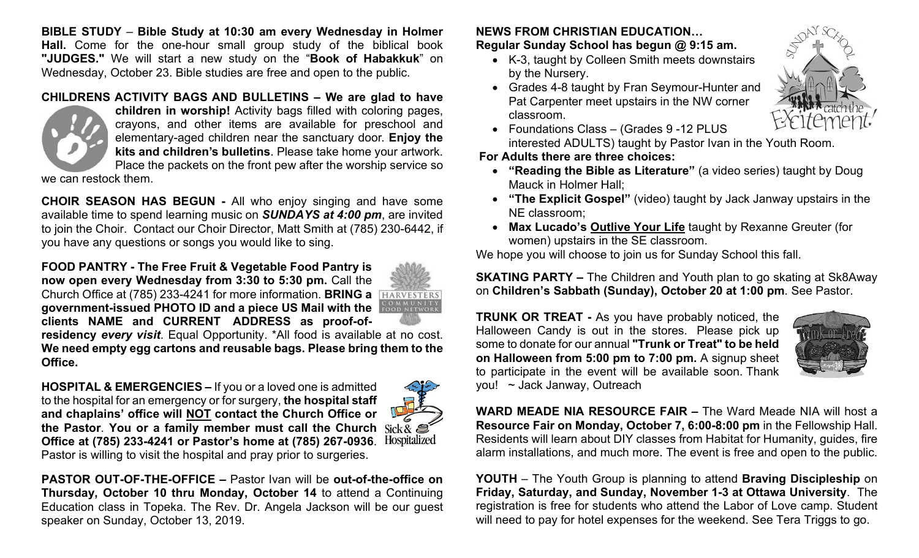**BIBLE STUDY** – **Bible Study at 10:30 am every Wednesday in Holmer Hall.** Come for the one-hour small group study of the biblical book **"JUDGES."** We will start a new study on the "**Book of Habakkuk**" on Wednesday, October 23. Bible studies are free and open to the public.

## **CHILDRENS ACTIVITY BAGS AND BULLETINS – We are glad to have**



**children in worship!** Activity bags filled with coloring pages, crayons, and other items are available for preschool and elementary-aged children near the sanctuary door. **Enjoy the kits and children's bulletins**. Please take home your artwork. Place the packets on the front pew after the worship service so

we can restock them.

**CHOIR SEASON HAS BEGUN -** All who enjoy singing and have some available time to spend learning music on *SUNDAYS at 4:00 pm*, are invited to join the Choir. Contact our Choir Director, Matt Smith at (785) 230-6442, if you have any questions or songs you would like to sing.

**FOOD PANTRY - The Free Fruit & Vegetable Food Pantry is now open every Wednesday from 3:30 to 5:30 pm.** Call the Church Office at (785) 233-4241 for more information. **BRING a government-issued PHOTO ID and a piece US Mail with the clients NAME and CURRENT ADDRESS as proof-of-**



**residency** *every visit*. Equal Opportunity. \*All food is available at no cost. **We need empty egg cartons and reusable bags. Please bring them to the Office.**

**HOSPITAL & EMERGENCIES –** If you or a loved one is admitted to the hospital for an emergency or for surgery, **the hospital staff and chaplains' office will NOT contact the Church Office or**  the Pastor. You or a family member must call the Church Sick &  $\mathcal{L}$ <br>Office at (785) 233-4241 or Pastor's home at (785) 267-0936 Hospitalized **Office at (785) 233-4241 or Pastor's home at (785) 267-0936**. Pastor is willing to visit the hospital and pray prior to surgeries.



**PASTOR OUT-OF-THE-OFFICE –** Pastor Ivan will be **out-of-the-office on Thursday, October 10 thru Monday, October 14** to attend a Continuing Education class in Topeka. The Rev. Dr. Angela Jackson will be our guest speaker on Sunday, October 13, 2019.

## **NEWS FROM CHRISTIAN EDUCATION…**

**Regular Sunday School has begun @ 9:15 am.** 

- K-3, taught by Colleen Smith meets downstairs by the Nursery.
- Grades 4-8 taught by Fran Seymour-Hunter and Pat Carpenter meet upstairs in the NW corner classroom.



• Foundations Class – (Grades 9 -12 PLUS interested ADULTS) taught by Pastor Ivan in the Youth Room.

## **For Adults there are three choices:**

- **"Reading the Bible as Literature"** (a video series) taught by Doug Mauck in Holmer Hall;
- **"The Explicit Gospel"** (video) taught by Jack Janway upstairs in the NE classroom;
- **Max Lucado's Outlive Your Life** taught by Rexanne Greuter (for women) upstairs in the SE classroom.

We hope you will choose to join us for Sunday School this fall.

**SKATING PARTY –** The Children and Youth plan to go skating at Sk8Away on **Children's Sabbath (Sunday), October 20 at 1:00 pm**. See Pastor.

**TRUNK OR TREAT -** As you have probably noticed, the Halloween Candy is out in the stores. Please pick up some to donate for our annual **"Trunk or Treat" to be held on Halloween from 5:00 pm to 7:00 pm.** A signup sheet to participate in the event will be available soon. Thank you! ~ Jack Janway, Outreach



**WARD MEADE NIA RESOURCE FAIR –** The Ward Meade NIA will host a **Resource Fair on Monday, October 7, 6:00-8:00 pm** in the Fellowship Hall. Residents will learn about DIY classes from Habitat for Humanity, guides, fire alarm installations, and much more. The event is free and open to the public.

**YOUTH** – The Youth Group is planning to attend **Braving Discipleship** on **Friday, Saturday, and Sunday, November 1-3 at Ottawa University**. The registration is free for students who attend the Labor of Love camp. Student will need to pay for hotel expenses for the weekend. See Tera Triggs to go.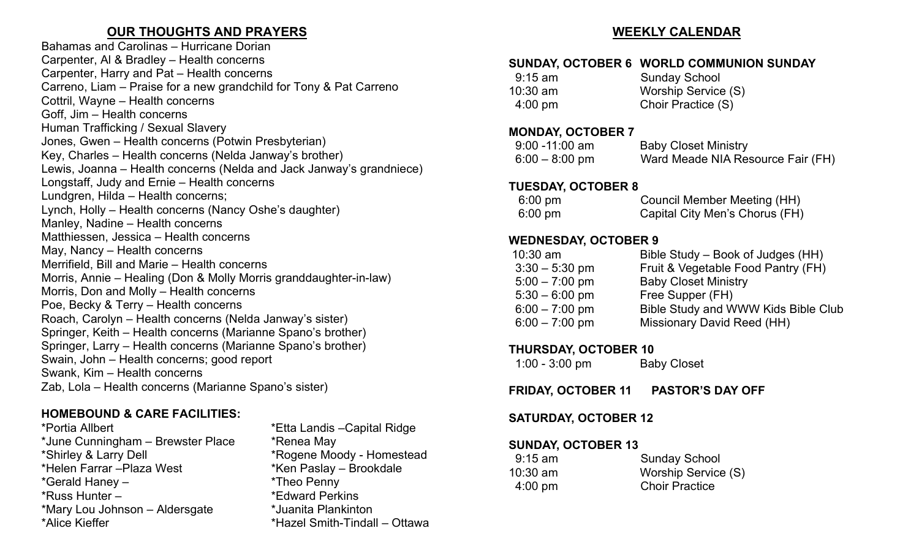# **OUR THOUGHTS AND PRAYERS**

Bahamas and Carolinas – Hurricane Dorian Carpenter, Al & Bradley – Health concerns Carpenter, Harry and Pat – Health concerns Carreno, Liam – Praise for a new grandchild for Tony & Pat Carreno Cottril, Wayne – Health concerns Goff, Jim – Health concerns Human Trafficking / Sexual Slavery Jones, Gwen – Health concerns (Potwin Presbyterian) Key, Charles – Health concerns (Nelda Janway's brother) Lewis, Joanna – Health concerns (Nelda and Jack Janway's grandniece) Longstaff, Judy and Ernie – Health concerns Lundgren, Hilda – Health concerns; Lynch, Holly – Health concerns (Nancy Oshe's daughter) Manley, Nadine – Health concerns Matthiessen, Jessica – Health concerns May, Nancy – Health concerns Merrifield, Bill and Marie – Health concerns Morris, Annie – Healing (Don & Molly Morris granddaughter-in-law) Morris, Don and Molly – Health concerns Poe, Becky & Terry – Health concerns Roach, Carolyn – Health concerns (Nelda Janway's sister) Springer, Keith – Health concerns (Marianne Spano's brother) Springer, Larry – Health concerns (Marianne Spano's brother) Swain, John – Health concerns; good report Swank, Kim – Health concerns Zab, Lola – Health concerns (Marianne Spano's sister)

# **HOMEBOUND & CARE FACILITIES:**

\*Portia Allbert \*Etta Landis –Capital Ridge \*June Cunningham – Brewster Place \*Renea May \*Shirley & Larry Dell \*Rogene Moody - Homestead  $*$ Helen Farrar – Plaza West \*Gerald Haney – \*Theo Penny \*Russ Hunter – \*Edward Perkins \*Mary Lou Johnson – Aldersgate \*Juanita Plankinton

\*Hazel Smith-Tindall – Ottawa

## **WEEKLY CALENDAR**

## **SUNDAY, OCTOBER 6 WORLD COMMUNION SUNDAY**

| $9:15$ am         | <b>Sunday School</b> |
|-------------------|----------------------|
| $10:30$ am        | Worship Service (S)  |
| $4:00 \text{ pm}$ | Choir Practice (S)   |

#### **MONDAY, OCTOBER 7**

| $9:00 - 11:00$ am | <b>Baby Closet Ministry</b>       |
|-------------------|-----------------------------------|
| $6:00 - 8:00$ pm  | Ward Meade NIA Resource Fair (FH) |

## **TUESDAY, OCTOBER 8**

| $6:00 \text{ pm}$ | <b>Council Member Meeting (HH)</b> |
|-------------------|------------------------------------|
| $6:00 \text{ pm}$ | Capital City Men's Chorus (FH)     |

## **WEDNESDAY, OCTOBER 9**

| $10:30$ am       | Bible Study – Book of Judges (HH)   |
|------------------|-------------------------------------|
| $3:30 - 5:30$ pm | Fruit & Vegetable Food Pantry (FH)  |
| $5:00 - 7:00$ pm | <b>Baby Closet Ministry</b>         |
| $5:30 - 6:00$ pm | Free Supper (FH)                    |
| $6:00 - 7:00$ pm | Bible Study and WWW Kids Bible Club |
| $6:00 - 7:00$ pm | Missionary David Reed (HH)          |
|                  |                                     |

## **THURSDAY, OCTOBER 10**

| $1:00 - 3:00$ pm | <b>Baby Closet</b> |
|------------------|--------------------|
|------------------|--------------------|

**FRIDAY, OCTOBER 11 PASTOR'S DAY OFF**

## **SATURDAY, OCTOBER 12**

## **SUNDAY, OCTOBER 13**

| $9:15$ am         | <b>Sunday School</b>  |
|-------------------|-----------------------|
| $10:30$ am        | Worship Service (S)   |
| $4:00 \text{ pm}$ | <b>Choir Practice</b> |